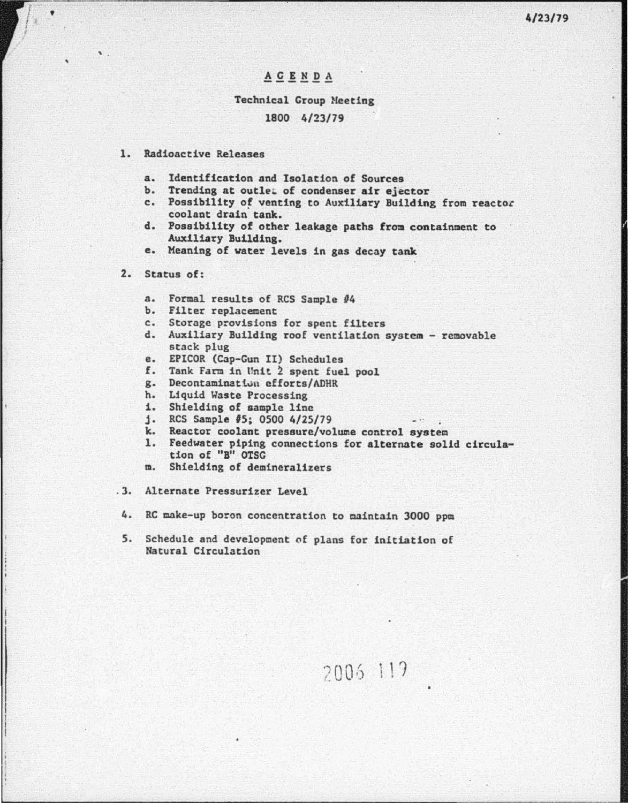### ACENDA

# Technical Group Meeting

## 1800 4/23/79

#### 1. Radioactive Releases

- a. Identification and Isolation of Sources
- b. Trending at outlet of condenser air ejector
- c. Possibility *of* venting to Auxiliary Building from reactoc coolant drain tank.
- d. Possibility of other leakage paths from containment to Auxiliary Building.
- e. Meaning of vater levels in gas decay tank

#### 2. Status of:

<sup>l</sup>• I r <sup>I</sup> *t* 

 $\bullet$ 

- a. Formal results of RCS Sample #4
- b. Filter replacement
- c. Storage provisions for spent filters
- d. Auxiliary Building roof ventilation system removable stack plug
- e. EPICOR (Cap-Gun II) Schedules
- f. Tank Farm in Unit 2 spent fuel pool
- g. Decontaminattuu efforts/ADHR
- h. Liquid Waste Processing
- i. Shielding of sample line
- j . RCS Sample *IS;* 0500 4/25/79
- k. Reactor coolant pressure/volume control system
- 1. Feedvater piping connections for alternate solid circulation of "B" OTSC

2006 119

- m. Shielding of demineralizers
- .3. Alternate Pressurizer Level
- 4. RC make-up boron concentration to maintain 3000 ppm
- 5. Schedule and development of plans for initiation of Natural Circulation